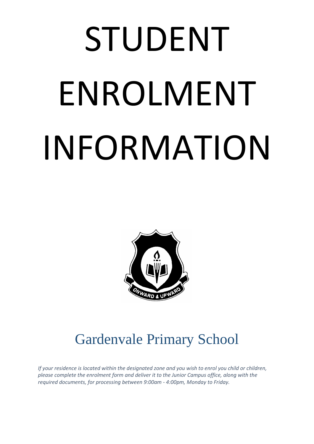# STUDENT ENROLMENT INFORMATION



# Gardenvale Primary School

*If your residence is located within the designated zone and you wish to enrol you child or children, please complete the enrolment form and deliver it to the Junior Campus office, along with the required documents, for processing between 9:00am - 4:00pm, Monday to Friday.*